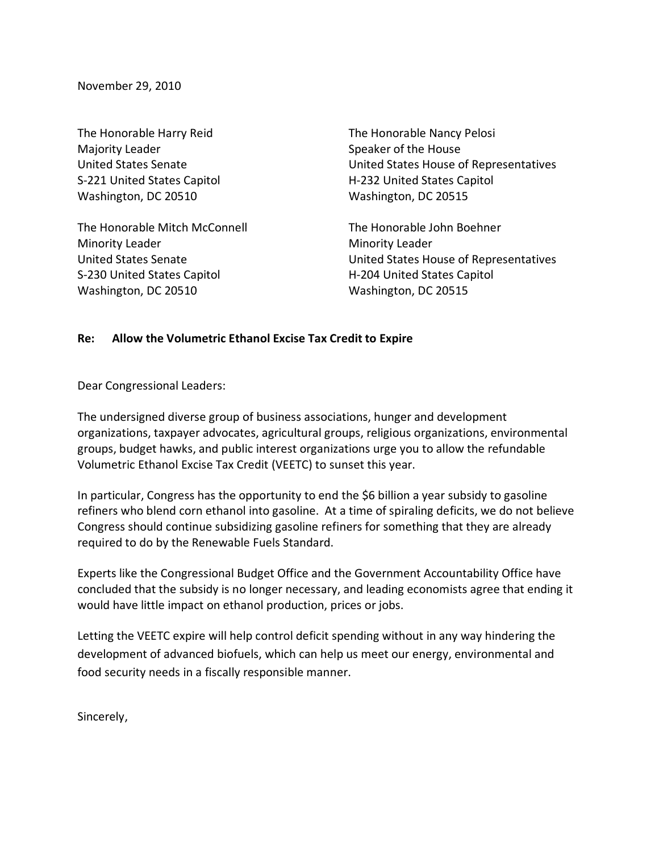November 29, 2010

The Honorable Harry Reid Majority Leader United States Senate S-221 United States Capitol Washington, DC 20510

The Honorable Mitch McConnell Minority Leader United States Senate S-230 United States Capitol Washington, DC 20510

The Honorable Nancy Pelosi Speaker of the House United States House of Representatives H-232 United States Capitol Washington, DC 20515

The Honorable John Boehner Minority Leader United States House of Representatives H-204 United States Capitol Washington, DC 20515

## Re: Allow the Volumetric Ethanol Excise Tax Credit to Expire

Dear Congressional Leaders:

The undersigned diverse group of business associations, hunger and development organizations, taxpayer advocates, agricultural groups, religious organizations, environmental groups, budget hawks, and public interest organizations urge you to allow the refundable Volumetric Ethanol Excise Tax Credit (VEETC) to sunset this year.

In particular, Congress has the opportunity to end the \$6 billion a year subsidy to gasoline refiners who blend corn ethanol into gasoline. At a time of spiraling deficits, we do not believe Congress should continue subsidizing gasoline refiners for something that they are already required to do by the Renewable Fuels Standard.

Experts like the Congressional Budget Office and the Government Accountability Office have concluded that the subsidy is no longer necessary, and leading economists agree that ending it would have little impact on ethanol production, prices or jobs.

Letting the VEETC expire will help control deficit spending without in any way hindering the development of advanced biofuels, which can help us meet our energy, environmental and food security needs in a fiscally responsible manner.

Sincerely,